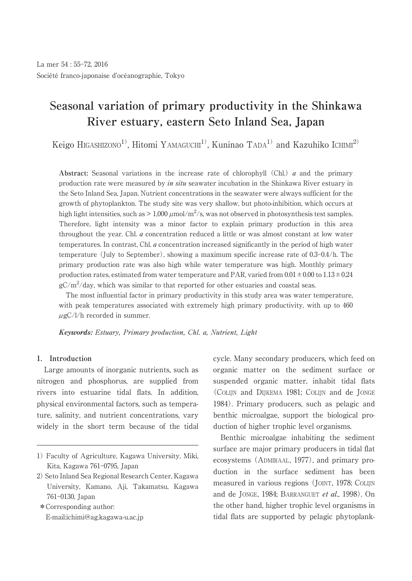# **Seasonal variation of primary productivity in the Shinkawa River estuary, eastern Seto Inland Sea, Japan**

Keigo HIGASHIZONO<sup>1)</sup>, Hitomi YAMAGUCHI<sup>1)</sup>, Kuninao TADA<sup>1)</sup> and Kazuhiko ICHIMI<sup>2)</sup>

**Abstract:** Seasonal variations in the increase rate of chlorophyll (Chl.) a and the primary production rate were measured by *in situ* seawater incubation in the Shinkawa River estuary in the Seto Inland Sea, Japan. Nutrient concentrations in the seawater were always sufficient for the growth of phytoplankton. The study site was very shallow, but photo-inhibition, which occurs at high light intensities, such as  $> 1,000 \mu$ mol/m<sup>2</sup>/s, was not observed in photosynthesis test samples. Therefore, light intensity was a minor factor to explain primary production in this area throughout the year. Chl. a concentration reduced a little or was almost constant at low water temperatures. In contrast, Chl. a concentration increased significantly in the period of high water temperature (July to September), showing a maximum specific increase rate of 0.3-0.4/h. The primary production rate was also high while water temperature was high. Monthly primary production rates, estimated from water temperature and PAR, varied from  $0.01 \pm 0.00$  to  $1.13 \pm 0.24$  $gC/m^2$ /day, which was similar to that reported for other estuaries and coastal seas.

The most influential factor in primary productivity in this study area was water temperature, with peak temperatures associated with extremely high primary productivity, with up to 460  $\mu$ gC/l/h recorded in summer.

**Keywords:** Estuary, Primary production, Chl. a, Nutrient, Light

## **1. Introduction**

Large amounts of inorganic nutrients, such as nitrogen and phosphorus, are supplied from rivers into estuarine tidal flats. In addition, physical environmental factors, such as temperature, salinity, and nutrient concentrations, vary widely in the short term because of the tidal

\*Corresponding author: E-mail:ichimi@ag.kagawa-u.ac.jp cycle. Many secondary producers, which feed on organic matter on the sediment surface or suspended organic matter, inhabit tidal flats (COLIJN and DIJKEMA 1981; COLIJN and de JONGE 1984). Primary producers, such as pelagic and benthic microalgae, support the biological production of higher trophic level organisms.

Benthic microalgae inhabiting the sediment surface are major primary producers in tidal flat ecosystems (ADMIRAAL, 1977), and primary production in the surface sediment has been measured in various regions (JOINT, 1978; COLIJN and de JONGE, 1984; BARRANGUET et al., 1998). On the other hand, higher trophic level organisms in tidal flats are supported by pelagic phytoplank-

<sup>1)</sup> Faculty of Agriculture, Kagawa University, Miki, Kita, Kagawa 761-0795, Japan

<sup>2)</sup> Seto Inland Sea Regional Research Center, Kagawa University, Kamano, Aji, Takamatsu, Kagawa 761-0130, Japan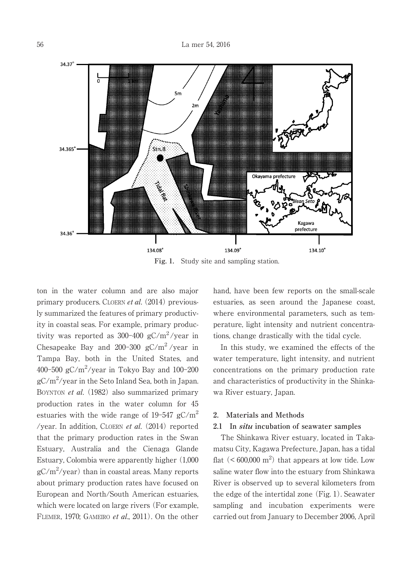

**Fig. 1.** Study site and sampling station.

ton in the water column and are also major primary producers. CLOERN et al. (2014) previously summarized the features of primary productivity in coastal seas. For example, primary productivity was reported as  $300-400$  gC/m<sup>2</sup>/year in Chesapeake Bay and 200-300  $gC/m^2$ /year in Tampa Bay, both in the United States, and 400-500 gC/m 2 /year in Tokyo Bay and 100-200 gC/m 2 /year in the Seto Inland Sea, both in Japan. BOYNTON *et al.* (1982) also summarized primary production rates in the water column for 45 estuaries with the wide range of  $19-547$   $gC/m^2$ /year. In addition, CLOERN et al. (2014) reported that the primary production rates in the Swan Estuary, Australia and the Cienaga Glande Estuary, Colombia were apparently higher (1,000  $gC/m^2$ /year) than in coastal areas. Many reports about primary production rates have focused on European and North/South American estuaries, which were located on large rivers (For example, FLEMER, 1970; GAMEIRO et al., 2011). On the other hand, have been few reports on the small-scale estuaries, as seen around the Japanese coast, where environmental parameters, such as temperature, light intensity and nutrient concentrations, change drastically with the tidal cycle.

In this study, we examined the effects of the water temperature, light intensity, and nutrient concentrations on the primary production rate and characteristics of productivity in the Shinkawa River estuary, Japan.

### **2. Materials and Methods**

# **2.1 In situ incubation of seawater samples**

The Shinkawa River estuary, located in Takamatsu City, Kagawa Prefecture, Japan, has a tidal flat  $(< 600,000 \text{ m}^2)$  that appears at low tide. Low saline water flow into the estuary from Shinkawa River is observed up to several kilometers from the edge of the intertidal zone (Fig. 1). Seawater sampling and incubation experiments were carried out from January to December 2006, April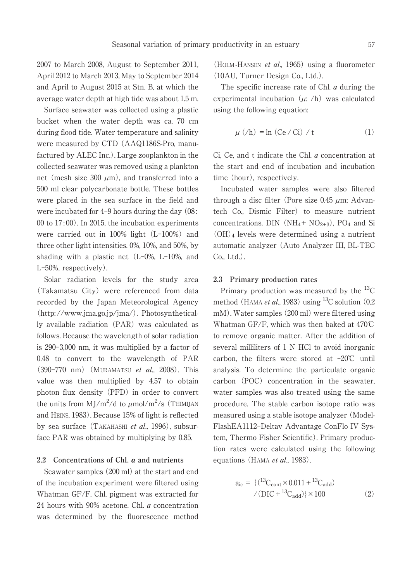2007 to March 2008, August to September 2011, April 2012 to March 2013, May to September 2014 and April to August 2015 at Stn. B, at which the average water depth at high tide was about 1.5 m.

Surface seawater was collected using a plastic bucket when the water depth was ca. 70 cm during flood tide. Water temperature and salinity were measured by CTD (AAQ1186S-Pro, manufactured by ALEC Inc.). Large zooplankton in the collected seawater was removed using a plankton net (mesh size 300  $\mu$ m), and transferred into a 500 ml clear polycarbonate bottle. These bottles were placed in the sea surface in the field and were incubated for 4-9 hours during the day (08: 00 to 17:00). In 2015, the incubation experiments were carried out in 100% light (L-100%) and three other light intensities. 0%, 10%, and 50%, by shading with a plastic net (L-0%, L-10%, and L-50%, respectively).

Solar radiation levels for the study area (Takamatsu City) were referenced from data recorded by the Japan Meteorological Agency (http: //www.jma.go.jp/jma/). Photosynthetically available radiation (PAR) was calculated as follows. Because the wavelength of solar radiation is 290-3,000 nm, it was multiplied by a factor of 0.48 to convert to the wavelength of PAR (390-770 nm) (MURAMATSU et al., 2008). This value was then multiplied by 4.57 to obtain photon flux density (PFD) in order to convert the units from  $MJ/m^2/d$  to  $\mu$ mol/m<sup>2</sup>/s (Thimijan and HEINS, 1983). Because 15% of light is reflected by sea surface (TAKAHASHI et al., 1996), subsurface PAR was obtained by multiplying by 0.85.

## **2.2 Concentrations of Chl. a and nutrients**

Seawater samples (200 ml) at the start and end of the incubation experiment were filtered using Whatman GF/F. Chl. pigment was extracted for 24 hours with 90% acetone. Chl. a concentration was determined by the fluorescence method (HOLM -HANSEN et al., 1965) using a fluorometer (10AU, Turner Design Co., Ltd.).

The specific increase rate of Chl. *a* during the experimental incubation  $(\mu; h)$  was calculated using the following equation:

$$
\mu \text{ } (\text{/h)} = \ln \text{ } (\text{Ce } \text{/ Ci)} \text{ } / \text{ } t \tag{1}
$$

Ci, Ce, and t indicate the Chl. a concentration at the start and end of incubation and incubation time (hour), respectively.

Incubated water samples were also filtered through a disc filter (Pore size 0.45  $\mu$ m; Advantech Co., Dismic Filter) to measure nutrient concentrations. DIN  $(NH_4 + NO_{2+3})$ , PO<sub>4</sub> and Si (OH)<sup>4</sup> levels were determined using a nutrient automatic analyzer (Auto Analyzer III, BL-TEC Co., Ltd.).

### **2.3 Primary production rates**

Primary production was measured by the <sup>13</sup>C method (HAMA *et al.*, 1983) using <sup>13</sup>C solution (0.2 mM). Water samples (200 ml) were filtered using Whatman GF/F, which was then baked at 470℃ to remove organic matter. After the addition of several milliliters of 1 N HCl to avoid inorganic carbon, the filters were stored at -20℃ until analysis. To determine the particulate organic carbon (POC) concentration in the seawater, water samples was also treated using the same procedure. The stable carbon isotope ratio was measured using a stable isotope analyzer (Model-FlashEA1112-Deltav Advantage ConFlo IV System, Thermo Fisher Scientific). Primary production rates were calculated using the following equations (HAMA *et al.*, 1983).

$$
a_{ic} = \{(^{13}C_{cont} \times 0.011 + ^{13}C_{add})
$$

$$
/ (DIC + ^{13}C_{add}) \} \times 100
$$
 (2)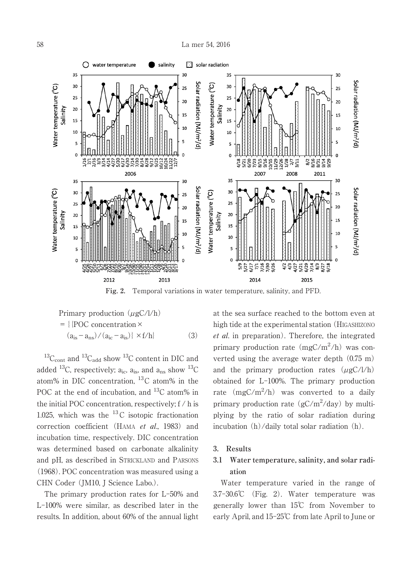

**Fig. 2.** Temporal variations in water temperature, salinity, and PFD.

Primary production 
$$
(\mu g C / l/h)
$$
  
= {[POC concentration ×  
 $(a_{is} - a_{ns}) / (a_{ic} - a_{is})| \times f/h}$  (3)

 $^{13}C_{\text{cont}}$  and  $^{13}C_{\text{add}}$  show  $^{13}C$  content in DIC and added <sup>13</sup>C, respectively;  $a_{ic}$ ,  $a_{is}$ , and  $a_{ns}$  show <sup>13</sup>C atom% in DIC concentration, <sup>13</sup>C atom% in the POC at the end of incubation, and <sup>13</sup>C atom% in the initial POC concentration, respectively; f / h is 1.025, which was the  $^{13}$ C isotopic fractionation correction coefficient (HAMA et al., 1983) and incubation time, respectively. DIC concentration was determined based on carbonate alkalinity and pH, as described in STRICKLAND and PARSONS (1968). POC concentration was measured using a CHN Coder (JM10, J Science Labo.).

The primary production rates for L-50% and L-100% were similar, as described later in the results. In addition, about 60% of the annual light at the sea surface reached to the bottom even at high tide at the experimental station (HIGASHIZONO et al. in preparation). Therefore, the integrated primary production rate (mgC/m<sup>2</sup>/h) was converted using the average water depth (0.75 m) and the primary production rates  $(\mu gC/l/h)$ obtained for L-100%. The primary production rate  $(mgC/m^2/h)$  was converted to a daily primary production rate  $(gC/m^2/day)$  by multiplying by the ratio of solar radiation during incubation (h)/daily total solar radiation (h).

#### **3. Results**

# **3.1 Water temperature, salinity, and solar radiation**

Water temperature varied in the range of 3.7-30.6℃ (Fig. 2). Water temperature was generally lower than 15℃ from November to early April, and 15-25℃ from late April to June or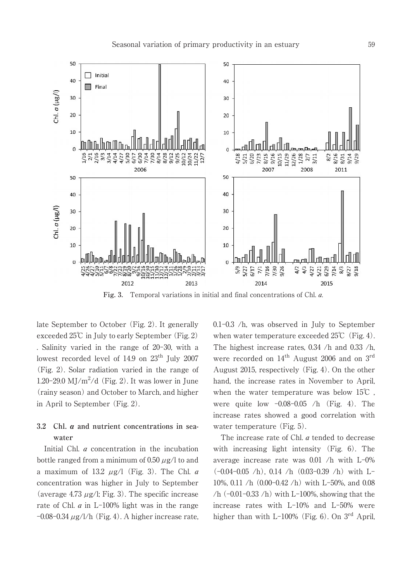

**Fig. 3.** Temporal variations in initial and final concentrations of Chl. a.

late September to October (Fig. 2). It generally exceeded 25℃ in July to early September (Fig. 2) . Salinity varied in the range of 20-30, with a lowest recorded level of  $14.9$  on  $23^{\text{th}}$  July  $2007$ (Fig. 2). Solar radiation varied in the range of 1.20-29.0 MJ/ $m^2/d$  (Fig. 2). It was lower in June (rainy season) and October to March, and higher in April to September (Fig. 2).

# **3.2 Chl. a and nutrient concentrations in seawater**

Initial Chl. *a* concentration in the incubation bottle ranged from a minimum of 0.50  $\mu$ g/l to and a maximum of 13.2  $\mu$ g/l (Fig. 3). The Chl. *a* concentration was higher in July to September (average 4.73  $\mu$ g/l; Fig. 3). The specific increase rate of Chl. a in L-100% light was in the range  $-0.08-0.34 \mu$ g/l/h (Fig. 4). A higher increase rate, 0.1-0.3 /h, was observed in July to September when water temperature exceeded  $25^{\circ}$  (Fig. 4). The highest increase rates, 0.34 /h and 0.33 /h, were recorded on  $14^{\text{th}}$  August 2006 and on  $3^{\text{rd}}$ August 2015, respectively (Fig. 4). On the other hand, the increase rates in November to April, when the water temperature was below 15℃ , were quite low -0.08-0.05 /h (Fig. 4). The increase rates showed a good correlation with water temperature (Fig. 5).

The increase rate of Chl. *a* tended to decrease with increasing light intensity (Fig. 6). The average increase rate was 0.01 /h with L-0%  $(-0.04 - 0.05)$  /h), 0.14 /h  $(0.03 - 0.39)$  /h) with L-10%, 0.11 /h (0.00-0.42 /h) with L-50%, and 0.08 /h  $(-0.01 - 0.33)$  /h) with L-100%, showing that the increase rates with L-10% and L-50% were higher than with L-100% (Fig. 6). On 3<sup>rd</sup> April,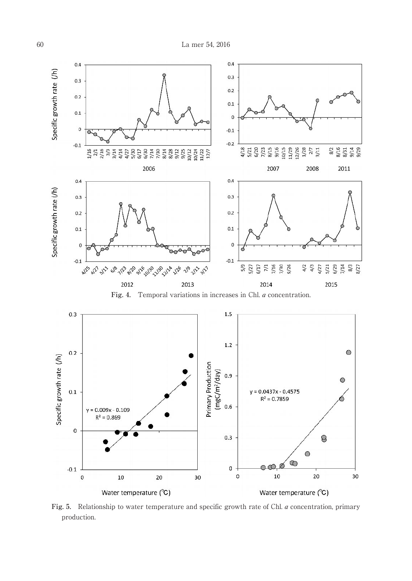



**Fig. 5.** Relationship to water temperature and specific growth rate of Chl. a concentration, primary production.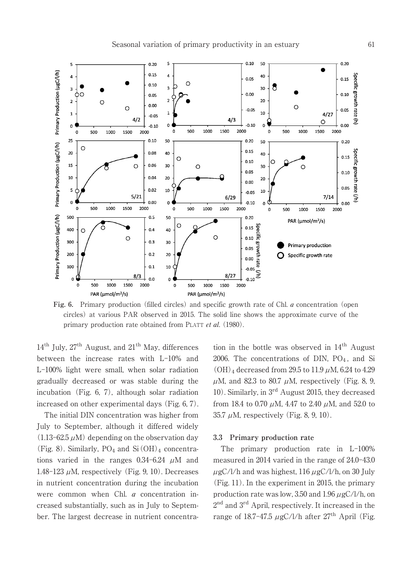$0.10$ 50

 $0.20$ 

 $\overline{\mathbf{5}}$ 





**Fig. 6.** Primary production (filled circles) and specific growth rate of Chl. a concentration (open circles) at various PAR observed in 2015. The solid line shows the approximate curve of the primary production rate obtained from PLATT et al. (1980).

14<sup>th</sup> July, 27<sup>th</sup> August, and 21<sup>th</sup> May, differences between the increase rates with L-10% and L-100% light were small, when solar radiation gradually decreased or was stable during the incubation (Fig. 6, 7), although solar radiation increased on other experimental days (Fig. 6, 7).

The initial DIN concentration was higher from July to September, although it differed widely  $(1.13-62.5 \mu M)$  depending on the observation day (Fig. 8). Similarly,  $PO_4$  and  $Si(OH)_4$  concentrations varied in the ranges  $0.34 - 6.24$   $\mu$ M and 1.48-123  $\mu$ M, respectively (Fig. 9, 10). Decreases in nutrient concentration during the incubation were common when Chl. a concentration increased substantially, such as in July to September. The largest decrease in nutrient concentra-

tion in the bottle was observed in 14<sup>th</sup> August 2006. The concentrations of DIN,  $PO<sub>4</sub>$ , and Si  $(OH)_{4}$  decreased from 29.5 to 11.9  $\mu$ M, 6.24 to 4.29  $\mu$ M, and 82.3 to 80.7  $\mu$ M, respectively (Fig. 8, 9, 10). Similarly, in 3<sup>rd</sup> August 2015, they decreased from 18.4 to 0.70  $\mu$ M, 4.47 to 2.40  $\mu$ M, and 52.0 to 35.7  $\mu$ M, respectively (Fig. 8, 9, 10).

## **3.3 Primary production rate**

The primary production rate in L-100% measured in 2014 varied in the range of 24.0-43.0  $\mu$ gC/l/h and was highest, 116  $\mu$ gC/l/h, on 30 July (Fig. 11). In the experiment in 2015, the primary production rate was low, 3.50 and 1.96  $\mu$ gC/l/h, on 2 nd and 3 rd April, respectively. It increased in the range of 18.7-47.5  $\mu$ gC/l/h after 27<sup>th</sup> April (Fig.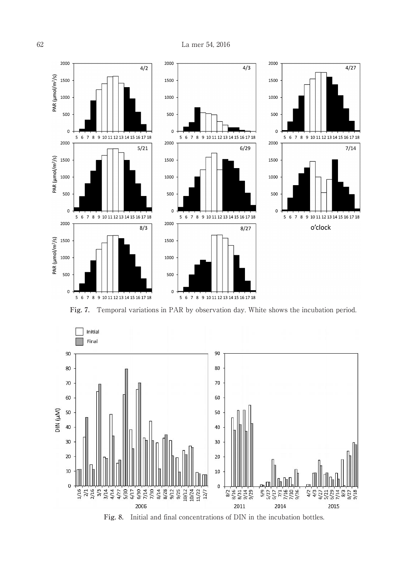

**Fig. 7.** Temporal variations in PAR by observation day. White shows the incubation period.



**Fig. 8.** Initial and final concentrations of DIN in the incubation bottles.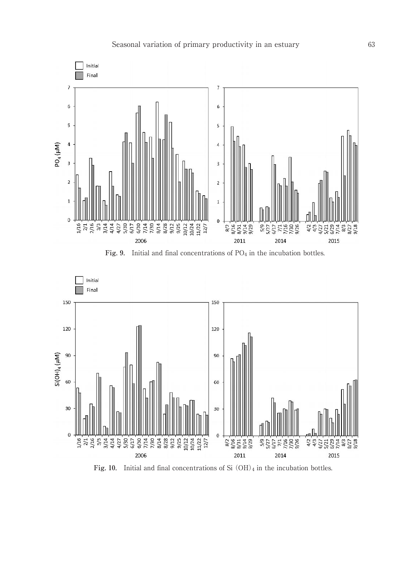

Fig. 9. Initial and final concentrations of PO<sub>4</sub> in the incubation bottles.



Fig. 10. Initial and final concentrations of Si  $(OH)_4$  in the incubation bottles.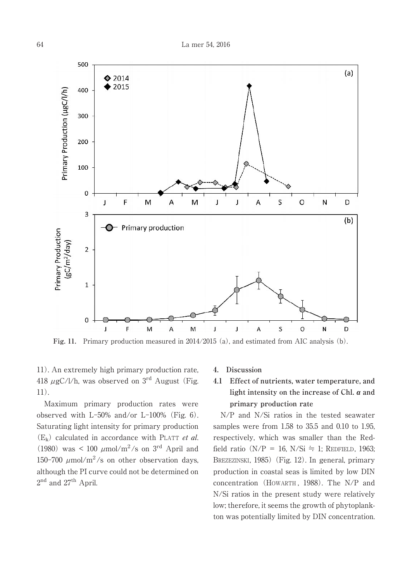

**Fig. 11.** Primary production measured in 2014/2015 (a), and estimated from AIC analysis (b).

11). An extremely high primary production rate, 418  $\mu$ gC/l/h, was observed on 3<sup>rd</sup> August (Fig. 11).

Maximum primary production rates were observed with  $L$ -50% and/or  $L$ -100% (Fig. 6). Saturating light intensity for primary production  $(E_k)$  calculated in accordance with PLATT *et al.* (1980) was < 100  $\mu$ mol/m<sup>2</sup>/s on 3<sup>rd</sup> April and 150-700  $\mu$ mol/m<sup>2</sup>/s on other observation days, although the PI curve could not be determined on 2<sup>nd</sup> and 27<sup>th</sup> April.

#### **4. Discussion**

# **4.1 Effect of nutrients, water temperature, and light intensity on the increase of Chl. a and primary production rate**

N/P and N/Si ratios in the tested seawater samples were from 1.58 to 35.5 and 0.10 to 1.95, respectively, which was smaller than the Redfield ratio (N/P = 16, N/Si  $\dot{=}$  1; REDFIELD, 1963; BREZEZINSKI, 1985) (Fig. 12). In general, primary production in coastal seas is limited by low DIN concentration (HOWARTH , 1988). The N/P and N/Si ratios in the present study were relatively low; therefore, it seems the growth of phytoplankton was potentially limited by DIN concentration.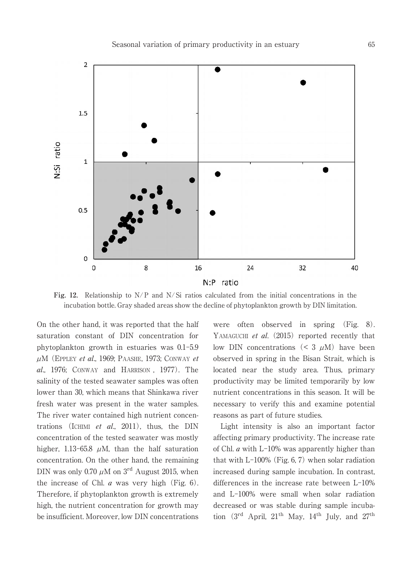

**Fig. 12.** Relationship to N/P and N/ Si ratios calculated from the initial concentrations in the incubation bottle. Gray shaded areas show the decline of phytoplankton growth by DIN limitation.

On the other hand, it was reported that the half saturation constant of DIN concentration for phytoplankton growth in estuaries was 0.1-5.9  $\mu$ M (EPPLEY et al., 1969; PAASHE, 1973; CONWAY et al., 1976; CONWAY and HARRISON , 1977). The salinity of the tested seawater samples was often lower than 30, which means that Shinkawa river fresh water was present in the water samples. The river water contained high nutrient concentrations (ICHIMI et al., 2011), thus, the DIN concentration of the tested seawater was mostly higher, 1.13-65.8  $\mu$ M, than the half saturation concentration. On the other hand, the remaining DIN was only 0.70  $\mu$ M on 3<sup>rd</sup> August 2015, when the increase of Chl.  $a$  was very high (Fig. 6). Therefore, if phytoplankton growth is extremely high, the nutrient concentration for growth may be insufficient. Moreover, low DIN concentrations were often observed in spring (Fig. 8). YAMAGUCHI et al. (2015) reported recently that low DIN concentrations  $(< 3 \mu M)$  have been observed in spring in the Bisan Strait, which is located near the study area. Thus, primary productivity may be limited temporarily by low nutrient concentrations in this season. It will be necessary to verify this and examine potential reasons as part of future studies.

Light intensity is also an important factor affecting primary productivity. The increase rate of Chl. a with L-10% was apparently higher than that with L-100% (Fig. 6, 7) when solar radiation increased during sample incubation. In contrast, differences in the increase rate between L-10% and L-100% were small when solar radiation decreased or was stable during sample incubation  $(3<sup>rd</sup>$  April,  $21<sup>th</sup>$  May,  $14<sup>th</sup>$  July, and  $27<sup>th</sup>$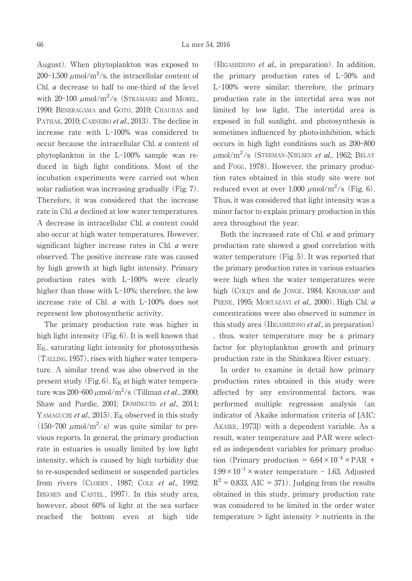August). When phytoplankton was exposed to 200-1,500  $\mu$ mol/m<sup>2</sup>/s, the intracellular content of Chl.  $a$  decrease to half to one-third of the level with  $20-100 \ \mu \text{mol/m}^2/\text{s}$  (STRAMASKI and MOREL, 1990; BENERAGAMA and GOTO, 2010; CHAUHAN and PATHAK, 2010; CARNEIRO et al., 2013). The decline in increase rate with L-100% was considered to occur because the intracellular Chl. a content of phytoplankton in the L-100% sample was reduced in high light conditions. Most of the incubation experiments were carried out when solar radiation was increasing gradually (Fig. 7). Therefore, it was considered that the increase rate in Chl. *a* declined at low water temperatures. A decrease in intracellular Chl. a content could also occur at high water temperatures. However, significant higher increase rates in Chl. a were observed. The positive increase rate was caused by high growth at high light intensity. Primary production rates with L-100% were clearly higher than those with L-10%; therefore, the low increase rate of Chl. a with L-100% does not represent low photosynthetic activity.

The primary production rate was higher in high light intensity (Fig. 6). It is well known that  $E_K$ , saturating light intensity for photosynthesis (TALLING, 1957), rises with higher water temperature. A similar trend was also observed in the present study (Fig. 6).  $E_K$  at high water temperature was 200-600 μmol/m<sup>2</sup>/s (Tillman *et al*., 2000; Shaw and Purdie, 2001; DOMINGUES et al., 2011; YAMAGUCHI et al., 2015).  $E_K$  observed in this study (150-700  $\mu$ mol/m<sup>2</sup>/s) was quite similar to previous reports. In general, the primary production rate in estuaries is usually limited by low light intensity, which is caused by high turbidity due to re-suspended sediment or suspended particles from rivers (CLOERN, 1987; COLE et al., 1992; IRIGOIEN and CASTEL, 1997). In this study area, however, about 60% of light at the sea surface reached the bottom even at high tide

(HIGASHIZONO *et al.*, in preparation). In addition, the primary production rates of L-50% and L-100% were similar; therefore, the primary production rate in the intertidal area was not limited by low light. The intertidal area is exposed in full sunlight, and photosynthesis is sometimes influenced by photo-inhibition, which occurs in high light conditions such as 200-800  $\mu$ mol/m<sup>2</sup>/s (Steeman-Nielsen *et al.*, 1962; Belay and FOGG, 1978). However, the primary production rates obtained in this study site were not reduced even at over  $1,000 \; \mu \text{mol/m}^2/\text{s}$  (Fig. 6). Thus, it was considered that light intensity was a minor factor to explain primary production in this area throughout the year.

Both the increased rate of Chl. a and primary production rate showed a good correlation with water temperature (Fig. 5). It was reported that the primary production rates in various estuaries were high when the water temperatures were high (COLIJN and de JONGE, 1984; KROMKAMP and PEENE, 1995; MORTAZAVI et al., 2000). High Chl. a concentrations were also observed in summer in this study area (HIGASHIZONO *et al.*, in preparation) , thus, water temperature may be a primary factor for phytoplankton growth and primary production rate in the Shinkawa River estuary.

In order to examine in detail how primary production rates obtained in this study were affected by any environmental factors, was performed multiple regression analysis (an indicator of Akaike information criteria of [AIC; AKAIKE, 1973]) with a dependent variable. As a result, water temperature and PAR were selected as independent variables for primary production (Primary production =  $6.64 \times 10^{-4} \times \text{PAR}$  +  $1.99 \times 10^{-1}$  × water temperature - 1.63, Adjusted  $R^2 = 0.833$ , AIC = 371). Judging from the results obtained in this study, primary production rate was considered to be limited in the order water temperature > light intensity > nutrients in the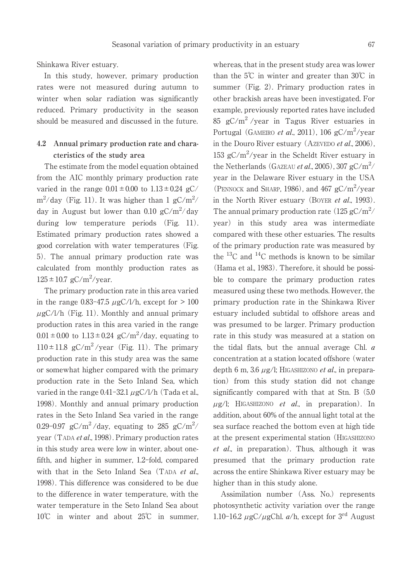Shinkawa River estuary.

In this study, however, primary production rates were not measured during autumn to winter when solar radiation was significantly reduced. Primary productivity in the season should be measured and discussed in the future.

# **4.2 Annual primary production rate and characteristics of the study area**

The estimate from the model equation obtained from the AIC monthly primary production rate varied in the range  $0.01 \pm 0.00$  to  $1.13 \pm 0.24$  gC/  $\rm m^2/day$  (Fig. 11). It was higher than 1 gC/m<sup>2</sup>/ day in August but lower than 0.10  $gC/m^2/day$ during low temperature periods (Fig. 11). Estimated primary production rates showed a good correlation with water temperatures (Fig. 5). The annual primary production rate was calculated from monthly production rates as  $125 \pm 10.7$  gC/m<sup>2</sup>/year.

The primary production rate in this area varied in the range  $0.83-47.5 \mu$ gC/l/h, except for  $> 100$  $\mu$ gC/l/h (Fig. 11). Monthly and annual primary production rates in this area varied in the range  $0.01 \pm 0.00$  to  $1.13 \pm 0.24$  gC/m<sup>2</sup>/day, equating to  $110 \pm 11.8$  gC/m<sup>2</sup>/year (Fig. 11). The primary production rate in this study area was the same or somewhat higher compared with the primary production rate in the Seto Inland Sea, which varied in the range  $0.41-32.1 \mu$ gC/l/h (Tada et al., 1998). Monthly and annual primary production rates in the Seto Inland Sea varied in the range 0.29-0.97  $gC/m^2$ /day, equating to 285  $gC/m^2$ / year (TADA et al., 1998). Primary production rates in this study area were low in winter, about onefifth, and higher in summer, 1.2-fold, compared with that in the Seto Inland Sea (TADA et al., 1998). This difference was considered to be due to the difference in water temperature, with the water temperature in the Seto Inland Sea about 10℃ in winter and about 25℃ in summer, whereas, that in the present study area was lower than the 5℃ in winter and greater than 30℃ in summer (Fig. 2). Primary production rates in other brackish areas have been investigated. For example, previously reported rates have included 85 gC/m 2 /year in Tagus River estuaries in Portugal (GAMEIRO *et al.*, 2011), 106 gC/m<sup>2</sup>/year in the Douro River estuary (AzEVEDO et al., 2006), 153  $gC/m^2$ /year in the Scheldt River estuary in the Netherlands (GAZEAU *et al.*, 2005), 307 gC/m<sup>2</sup>/ year in the Delaware River estuary in the USA (PENNOCK and SHARP, 1986), and 467  $gC/m^2$ /year in the North River estuary (BOYER et al., 1993). The annual primary production rate  $(125 \text{ gC/m}^2/\text{s})$ year) in this study area was intermediate compared with these other estuaries. The results of the primary production rate was measured by the  $^{13}$ C and  $^{14}$ C methods is known to be similar (Hama et al., 1983). Therefore, it should be possible to compare the primary production rates measured using these two methods. However, the primary production rate in the Shinkawa River estuary included subtidal to offshore areas and was presumed to be larger. Primary production rate in this study was measured at a station on the tidal flats, but the annual average Chl. a concentration at a station located offshore (water depth 6 m, 3.6  $\mu$ g/l; HIGASHIZONO *et al.*, in preparation) from this study station did not change significantly compared with that at Stn. B (5.0  $\mu$ g/l; HIGASHIZONO et al., in preparation). In addition, about 60% of the annual light total at the sea surface reached the bottom even at high tide at the present experimental station (HIGASHIZONO et al., in preparation). Thus, although it was presumed that the primary production rate across the entire Shinkawa River estuary may be higher than in this study alone.

Assimilation number (Ass. No.) represents photosynthetic activity variation over the range 1.10-16.2  $\mu$ gC/ $\mu$ gChl. a/h, except for 3<sup>rd</sup> August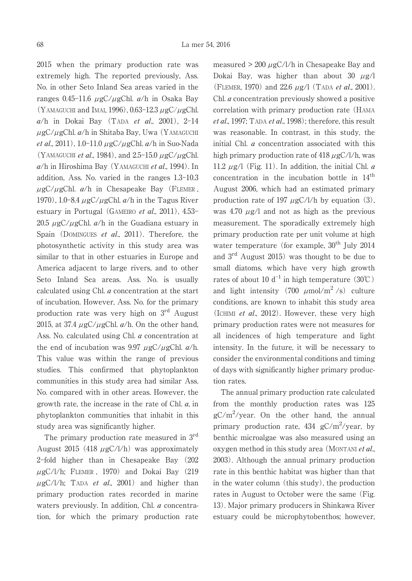2015 when the primary production rate was extremely high. The reported previously, Ass. No. in other Seto Inland Sea areas varied in the ranges 0.45-11.6  $\mu$ gC/ $\mu$ gChl.  $a/h$  in Osaka Bay (YAMAGUCHI and IMAI, 1996),  $0.63-12.3 \mu$ gC $/\mu$ gChl.  $a/h$  in Dokai Bay (TADA et al., 2001), 2-14  $\mu$ gC/ $\mu$ gChl.  $a/h$  in Shitaba Bay, Uwa (YAMAGUCHI et al., 2011), 1.0-11.0  $\mu$ gC/ $\mu$ gChl. a/h in Suo-Nada (YAMAGUCHI et al., 1984), and 2.5-15.0  $\mu$ gC/ $\mu$ gChl.  $a/h$  in Hiroshima Bay (YAMAGUCHI et al., 1994). In addition, Ass. No. varied in the ranges 1.3-10.3  $\mu$ gC/ $\mu$ gChl.  $a/h$  in Chesapeake Bay (FLEMER, 1970), 1.0-8.4  $\mu$ gC/ $\mu$ gChl.  $a/h$  in the Tagus River estuary in Portugal (GAMEIRO et al., 2011), 4.53-20.5  $\mu$ gC/ $\mu$ gChl.  $a/h$  in the Guadiana estuary in Spain (DOMINGUES *et al.*, 2011). Therefore, the photosynthetic activity in this study area was similar to that in other estuaries in Europe and America adjacent to large rivers, and to other Seto Inland Sea areas. Ass. No. is usually calculated using Chl. a concentration at the start of incubation. However, Ass. No. for the primary production rate was very high on 3rd August 2015, at 37.4  $\mu$ gC/ $\mu$ gChl.  $a/h$ . On the other hand, Ass. No. calculated using Chl. *a* concentration at the end of incubation was 9.97  $\mu$ gC/ $\mu$ gChl. a/h. This value was within the range of previous studies. This confirmed that phytoplankton communities in this study area had similar Ass. No. compared with in other areas. However, the growth rate, the increase in the rate of Chl. a, in phytoplankton communities that inhabit in this study area was significantly higher.

The primary production rate measured in 3<sup>rd</sup> August 2015 (418  $\mu$ gC/l/h) was approximately 2-fold higher than in Chesapeake Bay (202  $\mu$ gC/l/h; FLEMER, 1970) and Dokai Bay (219  $\mu$ gC/l/h; TADA et al., 2001) and higher than primary production rates recorded in marine waters previously. In addition, Chl. *a* concentration, for which the primary production rate measured  $> 200 \mu gC/l/h$  in Chesapeake Bay and Dokai Bay, was higher than about  $30 \text{ }\mu\text{g}/\text{l}$ (FLEMER, 1970) and 22.6  $\mu$ g/l (TADA *et al.*, 2001). Chl. a concentration previously showed a positive correlation with primary production rate (HAMA  $et al., 1997$ ; TADA  $et al., 1998$ ); therefore, this result was reasonable. In contrast, in this study, the initial Chl. a concentration associated with this high primary production rate of  $418 \mu$ gC/l/h, was 11.2  $\mu$ g/l (Fig. 11). In addition, the initial Chl. *a* concentration in the incubation bottle in  $14^{\text{th}}$ August 2006, which had an estimated primary production rate of 197  $\mu$ gC/l/h by equation (3), was 4.70  $\mu$ g/l and not as high as the previous measurement. The sporadically extremely high primary production rate per unit volume at high water temperature (for example,  $30<sup>th</sup>$  July 2014 and 3 rd August 2015) was thought to be due to small diatoms, which have very high growth rates of about 10  $d^{-1}$  in high temperature (30°C) and light intensity  $(700 \mu \text{mol/m}^2/s)$  culture conditions, are known to inhabit this study area (ICHIMI et al., 2012). However, these very high primary production rates were not measures for all incidences of high temperature and light intensity. In the future, it will be necessary to consider the environmental conditions and timing of days with significantly higher primary production rates.

The annual primary production rate calculated from the monthly production rates was 125  $gC/m^2$ /year. On the other hand, the annual primary production rate,  $434 \text{ gC/m}^2/\text{year}$ , by benthic microalgae was also measured using an oxygen method in this study area (MONTANI et al., 2003). Although the annual primary production rate in this benthic habitat was higher than that in the water column (this study), the production rates in August to October were the same (Fig. 13). Major primary producers in Shinkawa River estuary could be microphytobenthos; however,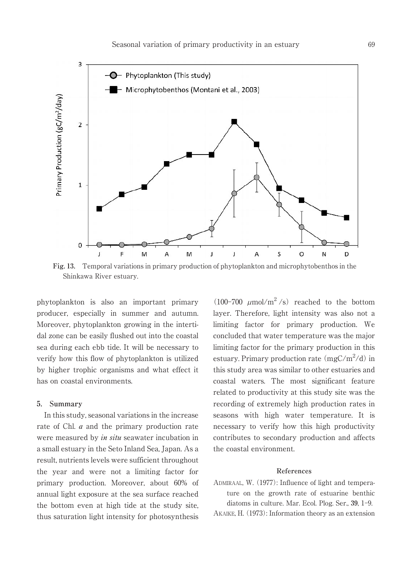

**Fig. 13.** Temporal variations in primary production of phytoplankton and microphytobenthos in the Shinkawa River estuary.

phytoplankton is also an important primary producer, especially in summer and autumn. Moreover, phytoplankton growing in the intertidal zone can be easily flushed out into the coastal sea during each ebb tide. It will be necessary to verify how this flow of phytoplankton is utilized by higher trophic organisms and what effect it has on coastal environments.

#### **5. Summary**

In this study, seasonal variations in the increase rate of Chl. *a* and the primary production rate were measured by *in situ* seawater incubation in a small estuary in the Seto Inland Sea, Japan. As a result, nutrients levels were sufficient throughout the year and were not a limiting factor for primary production. Moreover, about 60% of annual light exposure at the sea surface reached the bottom even at high tide at the study site, thus saturation light intensity for photosynthesis

(100-700  $\mu$ mol/m<sup>2</sup>/s) reached to the bottom layer. Therefore, light intensity was also not a limiting factor for primary production. We concluded that water temperature was the major limiting factor for the primary production in this estuary. Primary production rate  $(mgC/m^2/d)$  in this study area was similar to other estuaries and coastal waters. The most significant feature related to productivity at this study site was the recording of extremely high production rates in seasons with high water temperature. It is necessary to verify how this high productivity contributes to secondary production and affects the coastal environment.

### **References**

ADMIRAAL, W. (1977): Influence of light and temperature on the growth rate of estuarine benthic diatoms in culture. Mar. Ecol. Plog. Ser., **39**, 1-9.

AKAIKE, H. (1973): Information theory as an extension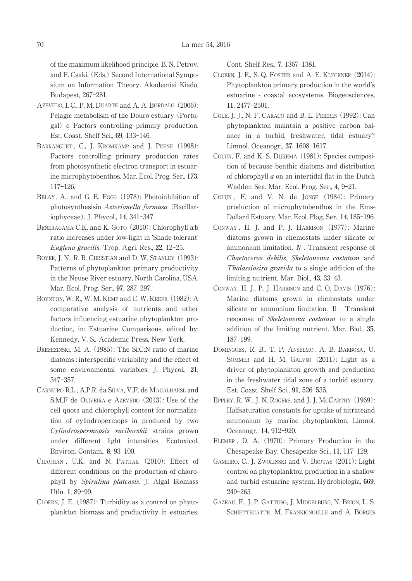of the maximum likelihood principle. B. N. Petrov, and F. Csaki, (Eds.) Second International Symposium on Information Theory. Akademiai Kiado, Budapest, 267-281.

- AZEVEDO, I. C., P. M. DUARTE and A. A. BORDALO (2006): Pelagic metabolism of the Douro estuary (Portugal) e Factors controlling primary production. Est. Coast. Shelf Sci., **69**, 133-146.
- BARRANGUET, C., J. KROMKAMP and J. PEENE (1998): Factors controlling primary production rates from photosynthetic electron transport in estuarine microphytobenthos. Mar. Ecol. Prog. Ser., **173**, 117-126.
- BELAY, A., and G. E. Fogg (1978): Photoinhibition of photosynthesisin Asterionella formasa (Bacillariophyceae). J. Phycol., **14**, 341-347.
- BENERAGAMA C.K. and K. GOTO (2010): Chlorophyll a:b ratio increases under low-light in 'Shade-tolerant' Euglena gracilis. Trop. Agri. Res., **22**, 12-25.
- BOYER, J. N., R. R. CHRISTIAN and D. W. STANLEY (1993): Patterns of phytoplankton primary productivity in the Neuse River estuary, North Carolina, USA. Mar. Ecol. Prog. Ser., **97**, 287-297.
- BOYNTON, W. R., W. M. KEMP and C. W. KEEFE (1982): A comparative analysis of nutrients and other factors influencing estuarine phytoplankton production, in: Estuarine Comparisons, edited by: Kennedy, V. S., Academic Press, New York.
- BREZEZINSKI, M. A. (1985): The Si:C:N ratio of marine diatoms : interspecific variability and the effect of some environmental variables. J. Phycol., **21**, 347-357.
- CARNEIRO R.L., A.P.R. da SILVA, V.F. de MAGALHAESL and S.M.F de OLIVEIRA e AZEVEDO (2013): Use of the cell quota and chlorophyll content for normalization of cylindropermops in produced by two Cylindrospermopsis raciborskii strains grown under different light intensities. Ecotoxicol. Environ. Contam., **8**, 93-100.
- CHAUHAN , U.K. and N. PATHAK (2010): Effect of different conditions on the production of chlorophyll by Spirulina platensis. J. Algal Biomass Utln. **1**, 89-99.
- CLOERN, J. E. (1987): Turbidity as a control on phytoplankton biomass and productivity in estuaries.

Cont. Shelf Res., **7**, 1367-1381.

- CLOERN, J. E., S. Q. FOSTER and A. E. KLECKNER (2014): Phytoplankton primary production in the world's estuarine - coastal ecosystems. Biogeosciences, **11**, 2477-2501.
- COLE, J. J., N. F. CARACO and B. L. PEIERLS (1992): Can phytoplankton maintain a positive carbon balance in a turbid, freshwater, tidal estuary? Limnol. Oceanogr., **37**, 1608-1617.
- COLIJN, F. and K. S. DIJKEMA (1981): Species composition of because benthic diatoms and distribution of chlorophyll  $\alpha$  on an intertidal flat in the Dutch Wadden Sea. Mar. Ecol. Prog. Ser., **4**, 9-21.
- COLIJN , F. and V. N. de JONGE (1984): Primary production of microphytobenthos in the Ems-Dollard Estuary. Mar. Ecol. Plog. Ser., **14**, 185-196.
- CONWAY , H. J. and P. J. HARRISON (1977): Marine diatoms grown in chemostats under silicate or ammonium limitation. Ⅳ . Transient response of Chaetoceros debilis, Skeletonema costatum and Thalassiosira gravida to a single addition of the limiting nutrient. Mar. Biol., **43**, 33-43.
- CONWAY, H. J., P. J. HARRISON and C. O. DAVIS (1976): Marine diatoms grown in chemostats under silicate or ammonium limitation. Ⅱ . Transient response of Skeletonema costatum to a single addition of the limiting nutrient. Mar. Biol., **35**, 187-199.
- DOMINGUES, R. B., T. P. ANSELMO, A. B. BARBOSA, U. SOMMER and H. M. GALVãO (2011): Light as a driver of phytoplankton growth and production in the freshwater tidal zone of a turbid estuary. Est. Coast. Shelf Sci., **91**, 526-535.
- EPPLEY, R. W., J. N. ROGERS, and J. J. MCCARTHY (1969): Halfsaturation constants for uptake of nitrateand ammonium by marine phytoplankton. Limnol. Oceanogr., **14**, 912-920.
- FLEMER , D. A. (1970): Primary Production in the Chesapeake Bay. Chesapeake Sci., **11**, 117-129.
- GAMEIRO, C., J. ZWOLINSKI and V. BROTAS (2011): Light control on phytoplankton production in a shallow and turbid estuarine system. Hydrobiologia, **669**, 249-263.
- GAZEAU, F., J. P. GATTUSO, J. MIDDELBURG, N. BRION, L. S. SCHIETTECATTE, M. FRANKIGNOULLE and A. BORGES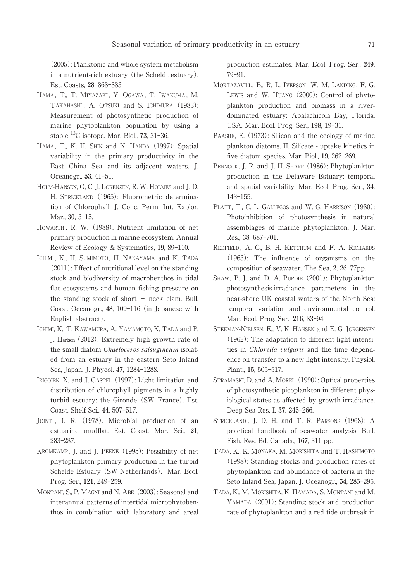(2005): Planktonic and whole system metabolism in a nutrient-rich estuary (the Scheldt estuary). Est. Coasts, **28**, 868-883.

- HAMA, T., T. MIYAZAKI, Y. OGAWA, T. IWAKUMA, M. TAKAHASHI, A. OTSUKI and S. ICHIMURA (1983): Measurement of photosynthetic production of marine phytoplankton population by using a stable <sup>13</sup>C isotope. Mar. Biol., **73**, 31-36.
- HAMA, T., K. H. SHIN and N. HANDA (1997): Spatial variability in the primary productivity in the East China Sea and its adjacent waters. J. Oceanogr., **53**, 41-51.
- HOLM-HANSEN, O, C. J. LORENZEN, R. W. HOLMES and J. D. H. STRICKLAND (1965): Fluorometric determination of Chlorophyll. J. Conc. Perm. Int. Explor. Mar., **30**, 3-15.
- HOWARTH , R. W. (1988). Nutrient limitation of net primary production in marine ecosystem. Annual Review of Ecology & Systematics, **19**, 89-110.
- ICHIMI, K., H. SUMIMOTO, H. NAKAYAMA and K. TADA (2011): Effect of nutritional level on the standing stock and biodiversity of macrobenthos in tidal flat ecosystems and human fishing pressure on the standing stock of short − neck clam. Bull. Coast. Oceanogr., **48**, 109-116 (in Japanese with English abstract).
- ICHIMI, K., T. KAWAMURA, A. YAMAMOTO, K. TADA and P. J. Harison (2012): Extremely high growth rate of the small diatom Chaetoceros salsugineum isolated from an estuary in the eastern Seto Inland Sea, Japan. J. Phycol. **47**, 1284-1288.
- IRIGOIEN, X. and J. CASTEL (1997): Light limitation and distribution of chlorophyll pigments in a highly turbid estuary: the Gironde (SW France). Est. Coast. Shelf Sci., **44**, 507-517.
- JOINT , I. R. (1978). Microbial production of an estuarine mudflat. Est. Coast. Mar. Sci., **21**, 283-287.
- KROMKAMP, J. and J. PEENE (1995): Possibility of net phytoplankton primary production in the turbid Schelde Estuary (SW Netherlands). Mar. Ecol. Prog. Ser., **121**, 249-259.
- MONTANI, S., P. MAGNI and N. ABE (2003): Seasonal and interannual patterns of intertidal microphytobenthos in combination with laboratory and areal

production estimates. Mar. Ecol. Prog. Ser., **249**, 79-91.

- MORTAZAVILL, B., R. L. IVERSON, W. M. LANDING, F. G. LEWIS and W. HUANG (2000): Control of phytoplankton production and biomass in a riverdominated estuary: Apalachicola Bay, Florida, USA. Mar. Ecol. Prog. Ser., **198**, 19-31.
- PAASHE, E. (1973): Silicon and the ecology of marine plankton diatoms. II. Silicate - uptake kinetics in five diatom species. Mar. Biol., **19**, 262-269.
- PENNOCK, J. R. and J. H. SHARP (1986): Phytoplankton production in the Delaware Estuary: temporal and spatial variability. Mar. Ecol. Prog. Ser., **34**, 143-155.
- PLATT, T., C. L. GALLEGOS and W. G. HARRISON (1980): Photoinhibition of photosynthesis in natural assemblages of marine phytoplankton. J. Mar. Res., **38**, 687-701.
- REDFIELD, A. C., B. H. KETCHUM and F. A. RICHARDS (1963): The influence of organisms on the composition of seawater. The Sea, **2**, 26-77pp.
- SHAW, P. J. and D. A. PURDIE (2001): Phytoplankton photosynthesis-irradiance parameters in the near-shore UK coastal waters of the North Sea: temporal variation and environmental control. Mar. Ecol. Prog. Ser., **216**, 83-94.
- STEEMAN-NIELSEN, E., V. K. HANSEN and E. G. JORGENSEN (1962): The adaptation to different light intensities in Chlorella vulgaris and the time dependence on transfer to a new light intensity. Physiol. Plant., **15**, 505-517.
- STRAMASKI, D. and A. MOREL (1990): Optical properties of photosynthetic picoplankton in different physiological states as affected by growth irradiance. Deep Sea Res. I, **37**, 245-266.
- STRICKLAND, J. D. H. and T. R. PARSONS (1968): A practical handbook of seawater analysis. Bull. Fish. Res. Bd. Canada., **167**, 311 pp.
- TADA, K., K. MONAKA, M. MORISHITA and T. HASHIMOTO (1998): Standing stocks and production rates of phytoplankton and abundance of bacteria in the Seto Inland Sea, Japan. J. Oceanogr., **54**, 285-295.
- TADA, K., M. MORISHITA, K. HAMADA, S. MONTANI and M. YAMADA (2001): Standing stock and production rate of phytoplankton and a red tide outbreak in